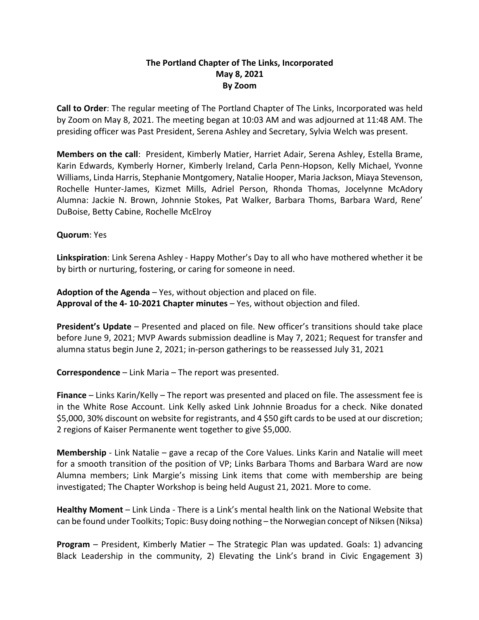## **The Portland Chapter of The Links, Incorporated May 8, 2021 By Zoom**

**Call to Order**: The regular meeting of The Portland Chapter of The Links, Incorporated was held by Zoom on May 8, 2021. The meeting began at 10:03 AM and was adjourned at 11:48 AM. The presiding officer was Past President, Serena Ashley and Secretary, Sylvia Welch was present.

**Members on the call**: President, Kimberly Matier, Harriet Adair, Serena Ashley, Estella Brame, Karin Edwards, Kymberly Horner, Kimberly Ireland, Carla Penn-Hopson, Kelly Michael, Yvonne Williams, Linda Harris, Stephanie Montgomery, Natalie Hooper, Maria Jackson, Miaya Stevenson, Rochelle Hunter-James, Kizmet Mills, Adriel Person, Rhonda Thomas, Jocelynne McAdory Alumna: Jackie N. Brown, Johnnie Stokes, Pat Walker, Barbara Thoms, Barbara Ward, Rene' DuBoise, Betty Cabine, Rochelle McElroy

## **Quorum**: Yes

**Linkspiration**: Link Serena Ashley - Happy Mother's Day to all who have mothered whether it be by birth or nurturing, fostering, or caring for someone in need.

**Adoption of the Agenda** – Yes, without objection and placed on file. **Approval of the 4- 10-2021 Chapter minutes** – Yes, without objection and filed.

**President's Update** – Presented and placed on file. New officer's transitions should take place before June 9, 2021; MVP Awards submission deadline is May 7, 2021; Request for transfer and alumna status begin June 2, 2021; in-person gatherings to be reassessed July 31, 2021

**Correspondence** – Link Maria – The report was presented.

**Finance** – Links Karin/Kelly – The report was presented and placed on file. The assessment fee is in the White Rose Account. Link Kelly asked Link Johnnie Broadus for a check. Nike donated \$5,000, 30% discount on website for registrants, and 4 \$50 gift cards to be used at our discretion; 2 regions of Kaiser Permanente went together to give \$5,000.

**Membership** - Link Natalie – gave a recap of the Core Values. Links Karin and Natalie will meet for a smooth transition of the position of VP; Links Barbara Thoms and Barbara Ward are now Alumna members; Link Margie's missing Link items that come with membership are being investigated; The Chapter Workshop is being held August 21, 2021. More to come.

**Healthy Moment** – Link Linda - There is a Link's mental health link on the National Website that can be found under Toolkits; Topic: Busy doing nothing – the Norwegian concept of Niksen (Niksa)

**Program** – President, Kimberly Matier – The Strategic Plan was updated. Goals: 1) advancing Black Leadership in the community, 2) Elevating the Link's brand in Civic Engagement 3)